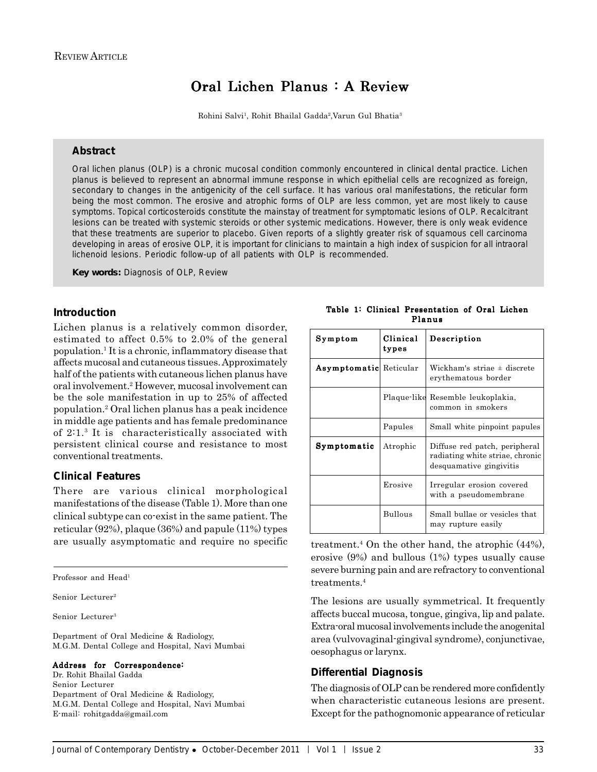# Oral Lichen Planus : A Review

Rohini Salvi1 , Rohit Bhailal Gadda2,Varun Gul Bhatia3

# **Abstract**

Oral lichen planus (OLP) is a chronic mucosal condition commonly encountered in clinical dental practice. Lichen planus is believed to represent an abnormal immune response in which epithelial cells are recognized as foreign, secondary to changes in the antigenicity of the cell surface. It has various oral manifestations, the reticular form being the most common. The erosive and atrophic forms of OLP are less common, yet are most likely to cause symptoms. Topical corticosteroids constitute the mainstay of treatment for symptomatic lesions of OLP. Recalcitrant lesions can be treated with systemic steroids or other systemic medications. However, there is only weak evidence that these treatments are superior to placebo. Given reports of a slightly greater risk of squamous cell carcinoma developing in areas of erosive OLP, it is important for clinicians to maintain a high index of suspicion for all intraoral lichenoid lesions. Periodic follow-up of all patients with OLP is recommended.

*Key words:* Diagnosis of OLP, Review

# **Introduction**

Lichen planus is a relatively common disorder, estimated to affect 0.5% to 2.0% of the general population.1 It is a chronic, inflammatory disease that affects mucosal and cutaneous tissues. Approximately half of the patients with cutaneous lichen planus have oral involvement.2 However, mucosal involvement can be the sole manifestation in up to 25% of affected population.2 Oral lichen planus has a peak incidence in middle age patients and has female predominance of 2:1.3 It is characteristically associated with persistent clinical course and resistance to most conventional treatments.

# **Clinical Features**

There are various clinical morphological manifestations of the disease (Table 1). More than one clinical subtype can co-exist in the same patient. The reticular (92%), plaque (36%) and papule (11%) types are usually asymptomatic and require no specific

Professor and Head1

Senior Lecturer<sup>2</sup>

Senior Lecturer3

Department of Oral Medicine & Radiology, M.G.M. Dental College and Hospital, Navi Mumbai

#### Address for Correspondence:

Dr. Rohit Bhailal Gadda Senior Lecturer Department of Oral Medicine & Radiology, M.G.M. Dental College and Hospital, Navi Mumbai E-mail: rohitgadda@gmail.com

| Symptom                       | Clinical<br>types | Description                                                                                 |
|-------------------------------|-------------------|---------------------------------------------------------------------------------------------|
| <b>Asymptomatic</b> Reticular |                   | Wickham's striae $\pm$ discrete<br>erythematous border                                      |
|                               |                   | Plaque like Resemble leukoplakia,<br>common in smokers                                      |
|                               | Papules           | Small white pinpoint papules                                                                |
| Symptomatic                   | Atrophic          | Diffuse red patch, peripheral<br>radiating white striae, chronic<br>desquamative gingivitis |
|                               | Erosive           | Irregular erosion covered<br>with a pseudomembrane                                          |
|                               | <b>Bullous</b>    | Small bullae or vesicles that<br>may rupture easily                                         |

Table 1: Clinical Presentation of Oral Lichen Planus

treatment.<sup>4</sup> On the other hand, the atrophic  $(44\%)$ , erosive (9%) and bullous (1%) types usually cause severe burning pain and are refractory to conventional treatments<sup>4</sup>

The lesions are usually symmetrical. It frequently affects buccal mucosa, tongue, gingiva, lip and palate. Extra-oral mucosal involvements include the anogenital area (vulvovaginal-gingival syndrome), conjunctivae, oesophagus or larynx.

### **Differential Diagnosis**

The diagnosis of OLP can be rendered more confidently when characteristic cutaneous lesions are present. Except for the pathognomonic appearance of reticular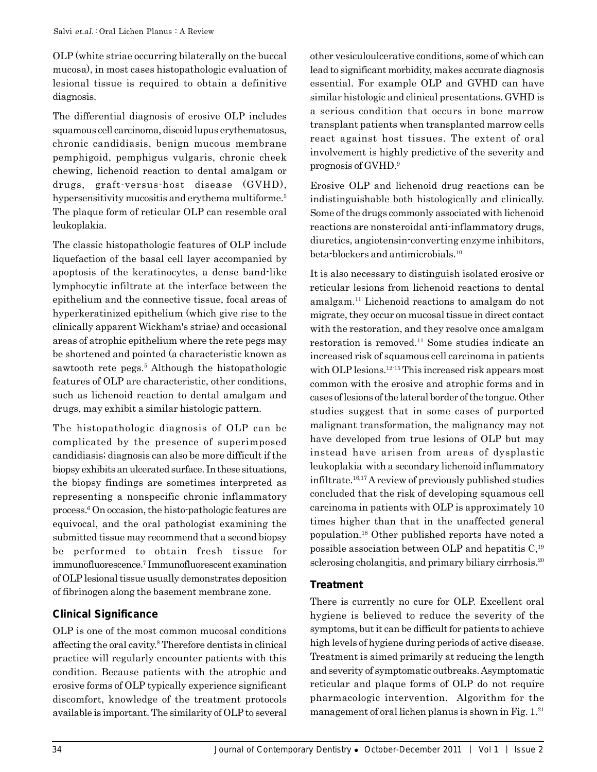OLP (white striae occurring bilaterally on the buccal mucosa), in most cases histopathologic evaluation of lesional tissue is required to obtain a definitive diagnosis.

The differential diagnosis of erosive OLP includes squamous cell carcinoma, discoid lupus erythematosus, chronic candidiasis, benign mucous membrane pemphigoid, pemphigus vulgaris, chronic cheek chewing, lichenoid reaction to dental amalgam or drugs, graft-versus-host disease (GVHD), hypersensitivity mucositis and erythema multiforme.<sup>5</sup> The plaque form of reticular OLP can resemble oral leukoplakia.

The classic histopathologic features of OLP include liquefaction of the basal cell layer accompanied by apoptosis of the keratinocytes, a dense band-like lymphocytic infiltrate at the interface between the epithelium and the connective tissue, focal areas of hyperkeratinized epithelium (which give rise to the clinically apparent Wickham's striae) and occasional areas of atrophic epithelium where the rete pegs may be shortened and pointed (a characteristic known as sawtooth rete pegs.<sup>5</sup> Although the histopathologic features of OLP are characteristic, other conditions, such as lichenoid reaction to dental amalgam and drugs, may exhibit a similar histologic pattern.

The histopathologic diagnosis of OLP can be complicated by the presence of superimposed candidiasis; diagnosis can also be more difficult if the biopsy exhibits an ulcerated surface. In these situations, the biopsy findings are sometimes interpreted as representing a nonspecific chronic inflammatory process.6 On occasion, the histo-pathologic features are equivocal, and the oral pathologist examining the submitted tissue may recommend that a second biopsy be performed to obtain fresh tissue for immunofluorescence.7 Immunofluorescent examination of OLP lesional tissue usually demonstrates deposition of fibrinogen along the basement membrane zone.

# **Clinical Significance**

OLP is one of the most common mucosal conditions affecting the oral cavity.8 Therefore dentists in clinical practice will regularly encounter patients with this condition. Because patients with the atrophic and erosive forms of OLP typically experience significant discomfort, knowledge of the treatment protocols available is important. The similarity of OLP to several

other vesiculoulcerative conditions, some of which can lead to significant morbidity, makes accurate diagnosis essential. For example OLP and GVHD can have similar histologic and clinical presentations. GVHD is a serious condition that occurs in bone marrow transplant patients when transplanted marrow cells react against host tissues. The extent of oral involvement is highly predictive of the severity and prognosis of GVHD.9

Erosive OLP and lichenoid drug reactions can be indistinguishable both histologically and clinically. Some of the drugs commonly associated with lichenoid reactions are nonsteroidal anti-inflammatory drugs, diuretics, angiotensin-converting enzyme inhibitors, beta-blockers and antimicrobials.<sup>10</sup>

It is also necessary to distinguish isolated erosive or reticular lesions from lichenoid reactions to dental amalgam.11 Lichenoid reactions to amalgam do not migrate, they occur on mucosal tissue in direct contact with the restoration, and they resolve once amalgam restoration is removed.11 Some studies indicate an increased risk of squamous cell carcinoma in patients with OLP lesions.<sup>12-15</sup> This increased risk appears most common with the erosive and atrophic forms and in cases of lesions of the lateral border of the tongue. Other studies suggest that in some cases of purported malignant transformation, the malignancy may not have developed from true lesions of OLP but may instead have arisen from areas of dysplastic leukoplakia with a secondary lichenoid inflammatory infiltrate.16,17 A review of previously published studies concluded that the risk of developing squamous cell carcinoma in patients with OLP is approximately 10 times higher than that in the unaffected general population.18 Other published reports have noted a possible association between OLP and hepatitis  $C<sub>19</sub>$ sclerosing cholangitis, and primary biliary cirrhosis.<sup>20</sup>

# **Treatment**

There is currently no cure for OLP. Excellent oral hygiene is believed to reduce the severity of the symptoms, but it can be difficult for patients to achieve high levels of hygiene during periods of active disease. Treatment is aimed primarily at reducing the length and severity of symptomatic outbreaks. Asymptomatic reticular and plaque forms of OLP do not require pharmacologic intervention. Algorithm for the management of oral lichen planus is shown in Fig.  $1.^{21}$ .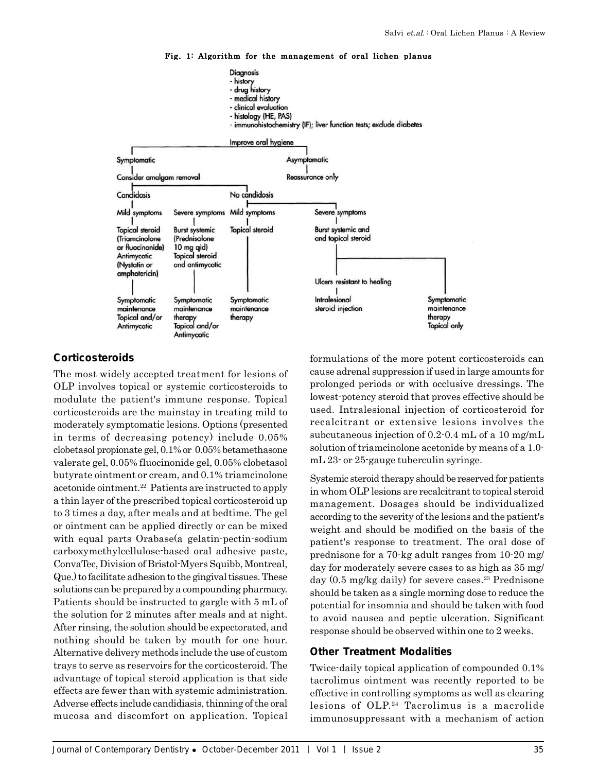

#### Fig. 1: Algorithm for the management of oral lichen planus

# **Corticosteroids**

The most widely accepted treatment for lesions of OLP involves topical or systemic corticosteroids to modulate the patient's immune response. Topical corticosteroids are the mainstay in treating mild to moderately symptomatic lesions. Options (presented in terms of decreasing potency) include 0.05% clobetasol propionate gel, 0.1% or 0.05% betamethasone valerate gel, 0.05% fluocinonide gel, 0.05% clobetasol butyrate ointment or cream, and 0.1% triamcinolone acetonide ointment.<sup>22</sup> Patients are instructed to apply a thin layer of the prescribed topical corticosteroid up to 3 times a day, after meals and at bedtime. The gel or ointment can be applied directly or can be mixed with equal parts Orabase(a gelatin-pectin-sodium carboxymethylcellulose-based oral adhesive paste, ConvaTec, Division of Bristol-Myers Squibb, Montreal, Que.) to facilitate adhesion to the gingival tissues. These solutions can be prepared by a compounding pharmacy. Patients should be instructed to gargle with 5 mL of the solution for 2 minutes after meals and at night. After rinsing, the solution should be expectorated, and nothing should be taken by mouth for one hour. Alternative delivery methods include the use of custom trays to serve as reservoirs for the corticosteroid. The advantage of topical steroid application is that side effects are fewer than with systemic administration. Adverse effects include candidiasis, thinning of the oral mucosa and discomfort on application. Topical

formulations of the more potent corticosteroids can cause adrenal suppression if used in large amounts for prolonged periods or with occlusive dressings. The lowest-potency steroid that proves effective should be used. Intralesional injection of corticosteroid for recalcitrant or extensive lesions involves the subcutaneous injection of 0.2-0.4 mL of a 10 mg/mL solution of triamcinolone acetonide by means of a 1.0 mL 23- or 25-gauge tuberculin syringe.

Systemic steroid therapy should be reserved for patients in whom OLP lesions are recalcitrant to topical steroid management. Dosages should be individualized according to the severity of the lesions and the patient's weight and should be modified on the basis of the patient's response to treatment. The oral dose of prednisone for a 70-kg adult ranges from 10-20 mg/ day for moderately severe cases to as high as 35 mg/ day  $(0.5 \text{ mg/kg} \text{ daily})$  for severe cases.<sup>23</sup> Prednisone should be taken as a single morning dose to reduce the potential for insomnia and should be taken with food to avoid nausea and peptic ulceration. Significant response should be observed within one to 2 weeks.

### **Other Treatment Modalities**

Twice-daily topical application of compounded 0.1% tacrolimus ointment was recently reported to be effective in controlling symptoms as well as clearing lesions of OLP.<sup>24</sup> Tacrolimus is a macrolide immunosuppressant with a mechanism of action